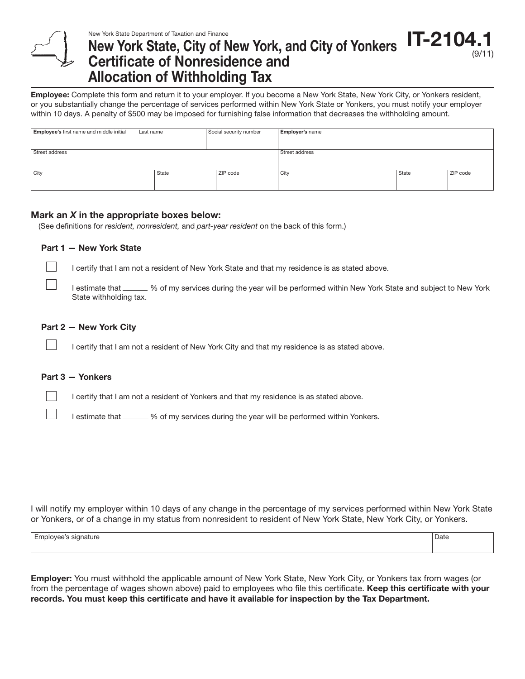#### **IT-2104** (9/11) New York State Department of Taxation and Finance New York State, City of New York, and City of Yonkers Certificate of Nonresidence and Allocation of Withholding Tax

Employee: Complete this form and return it to your employer. If you become a New York State, New York City, or Yonkers resident, or you substantially change the percentage of services performed within New York State or Yonkers, you must notify your employer within 10 days. A penalty of \$500 may be imposed for furnishing false information that decreases the withholding amount.

| Employee's first name and middle initial | Last name | Social security number | <b>Employer's name</b> |       |          |
|------------------------------------------|-----------|------------------------|------------------------|-------|----------|
|                                          |           |                        |                        |       |          |
| Street address                           |           |                        | Street address         |       |          |
|                                          |           |                        |                        |       |          |
| City                                     | State     | ZIP code               | City                   | State | ZIP code |
|                                          |           |                        |                        |       |          |

# Mark an *X* in the appropriate boxes below:

(See definitions for *resident, nonresident,* and *part-year resident* on the back of this form.)

# Part 1 — New York State

I certify that I am not a resident of New York State and that my residence is as stated above.

I estimate that \_\_\_\_\_ % of my services during the year will be performed within New York State and subject to New York State withholding tax.

# Part 2 — New York City

I certify that I am not a resident of New York City and that my residence is as stated above.

### Part 3 — Yonkers

I certify that I am not a resident of Yonkers and that my residence is as stated above.

I estimate that \_\_\_\_\_\_ % of my services during the year will be performed within Yonkers.

I will notify my employer within 10 days of any change in the percentage of my services performed within New York State or Yonkers, or of a change in my status from nonresident to resident of New York State, New York City, or Yonkers.

Employee's signature Date Date of Date Date of Date of Date of Date of Date of Date of Date of Date of Date of Date of Date of Date of Date of Date of Date of Date of Date of Date of Date of Date of Date of Date of Date of

**Employer:** You must withhold the applicable amount of New York State, New York City, or Yonkers tax from wages (or from the percentage of wages shown above) paid to employees who file this certificate. Keep this certificate with your records. You must keep this certificate and have it available for inspection by the Tax Department.